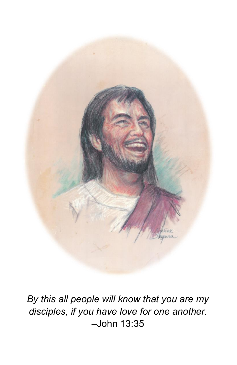

*By this all people will know that you are my disciples, if you have love for one another.*  –John 13:35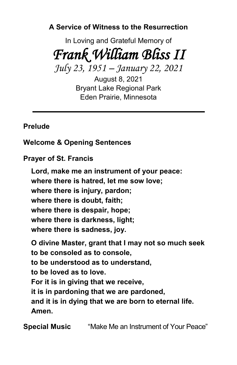**A Service of Witness to the Resurrection**

In Loving and Grateful Memory of *Frank William Bliss II* 

*July 23, 1951 – January 22, 2021*

August 8, 2021 Bryant Lake Regional Park Eden Prairie, Minnesota

## **Prelude**

**Welcome & Opening Sentences**

**Prayer of St. Francis**

**Lord, make me an instrument of your peace: where there is hatred, let me sow love; where there is injury, pardon; where there is doubt, faith; where there is despair, hope; where there is darkness, light; where there is sadness, joy. O divine Master, grant that I may not so much seek to be consoled as to console,**

**to be understood as to understand,**

**to be loved as to love.**

**For it is in giving that we receive,**

**it is in pardoning that we are pardoned,**

**and it is in dying that we are born to eternal life. Amen.**

**Special Music** "Make Me an Instrument of Your Peace"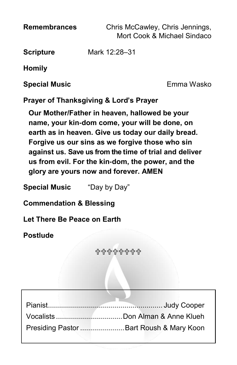**Remembrances** Chris McCawley, Chris Jennings, Mort Cook & Michael Sindaco

**Scripture** Mark 12:28–31

**Homily**

**Special Music** Emma Wasko

**Prayer of Thanksgiving & Lord's Prayer**

**Our Mother/Father in heaven, hallowed be your name, your kin-dom come, your will be done, on earth as in heaven. Give us today our daily bread. Forgive us our sins as we forgive those who sin against us. Save us from the time of trial and deliver us from evil. For the kin-dom, the power, and the glory are yours now and forever. AMEN**

**Special Music** "Day by Day"

**Commendation & Blessing**

**Let There Be Peace on Earth**

**Postlude**

**<{}> <{} <{} <{} <{} <{} <{} <{}** 

| Presiding Pastor  Bart Roush & Mary Koon |
|------------------------------------------|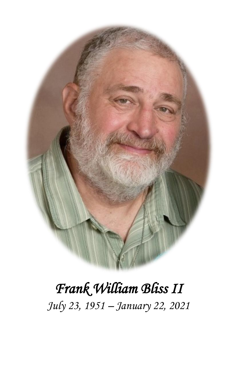

# *Frank William Bliss II July 23, 1951 – January 22, 2021*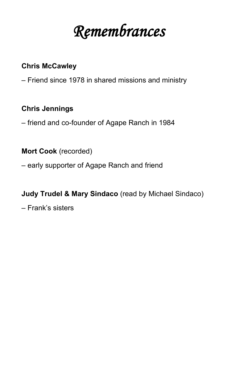*Remembrances* 

#### **Chris McCawley**

– Friend since 1978 in shared missions and ministry

#### **Chris Jennings**

– friend and co-founder of Agape Ranch in 1984

### **Mort Cook** (recorded)

– early supporter of Agape Ranch and friend

#### **Judy Trudel & Mary Sindaco** (read by Michael Sindaco)

– Frank's sisters